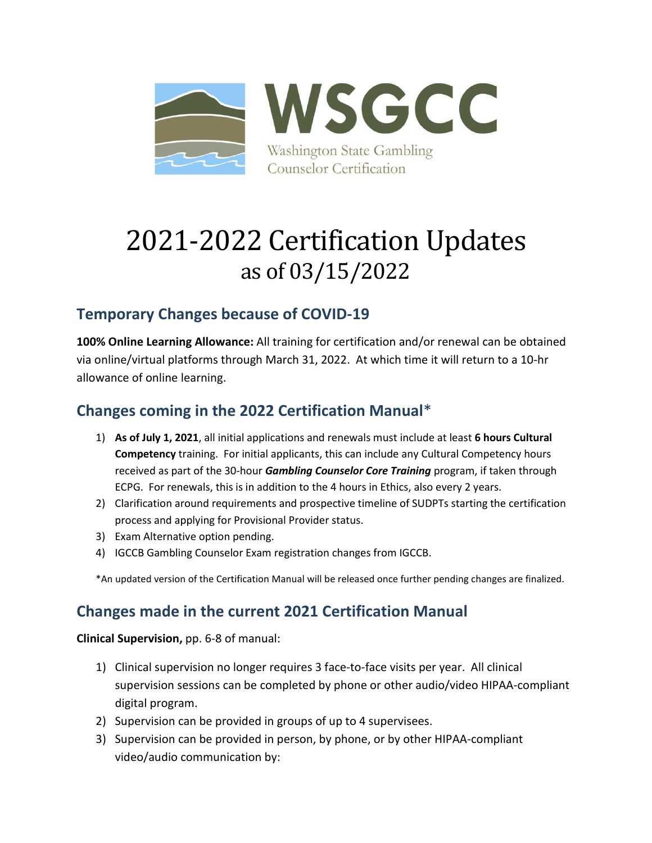

# 2021-2022 Certification Updates as of 03/15/2022

## **Temporary Changes because of COVID-19**

**100% Online Learning Allowance:** All training for certification and/or renewal can be obtained via online/virtual platforms through March 31, 2022. At which time it will return to a 10-hr allowance of online learning.

### **Changes coming in the 2022 Certification Manual**\*

- 1) **As of July 1, 2021**, all initial applications and renewals must include at least **6 hours Cultural Competency** training. For initial applicants, this can include any Cultural Competency hours received as part of the 30-hour *Gambling Counselor Core Training* program, if taken through ECPG. For renewals, this is in addition to the 4 hours in Ethics, also every 2 years.
- 2) Clarification around requirements and prospective timeline of SUDPTs starting the certification process and applying for Provisional Provider status.
- 3) Exam Alternative option pending.
- 4) IGCCB Gambling Counselor Exam registration changes from IGCCB.

\*An updated version of the Certification Manual will be released once further pending changes are finalized.

#### **Changes made in the current 2021 Certification Manual**

**Clinical Supervision,** pp. 6-8 of manual:

- 1) Clinical supervision no longer requires 3 face-to-face visits per year. All clinical supervision sessions can be completed by phone or other audio/video HIPAA-compliant digital program.
- 2) Supervision can be provided in groups of up to 4 supervisees.
- 3) Supervision can be provided in person, by phone, or by other HIPAA-compliant video/audio communication by: